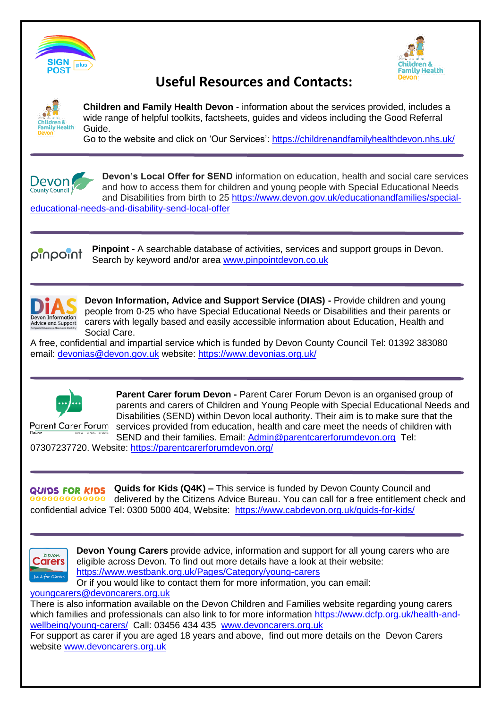



# **Useful Resources and Contacts:**



**Children and Family Health Devon** - information about the services provided, includes a wide range of helpful toolkits, factsheets, guides and videos including the Good Referral Guide.

Go to the website and click on 'Our Services':<https://childrenandfamilyhealthdevon.nhs.uk/>



**Devon's Local Offer for SEND** information on education, health and social care services and how to access them for children and young people with Special Educational Needs and Disabilities from birth to 25 [https://www.devon.gov.uk/educationandfamilies/special-](https://www.devon.gov.uk/educationandfamilies/special-educational-needs-and-disability-send-local-offer)

[educational-needs-and-disability-send-local-offer](https://www.devon.gov.uk/educationandfamilies/special-educational-needs-and-disability-send-local-offer)

**Pinpoint -** A searchable database of activities, services and support groups in Devon. tnioqniq Search by keyword and/or area [www.pinpointdevon.co.uk](http://www.pinpointdevon.co.uk/)



**Devon Information, Advice and Support Service (DIAS) -** Provide children and young people from 0-25 who have Special Educational Needs or Disabilities and their parents or carers with legally based and easily accessible information about Education, Health and Social Care.

A free, confidential and impartial service which is funded by Devon County Council Tel: 01392 383080 email: [devonias@devon.gov.uk](mailto:devonias@devon.gov.uk) website:<https://www.devonias.org.uk/>



**Parent Carer forum Devon -** Parent Carer Forum Devon is an organised group of parents and carers of Children and Young People with Special Educational Needs and Disabilities (SEND) within Devon local authority. Their aim is to make sure that the services provided from education, health and care meet the needs of children with SEND and their families. Email: [Admin@parentcarerforumdevon.org](mailto:Admin@parentcarerforumdevon.org) Tel:

07307237720. Website:<https://parentcarerforumdevon.org/>

**Quids for Kids (Q4K) –** This service is funded by Devon County Council and QUIDS FOR KIDS  $99999999999$  delivered by the Citizens Advice Bureau. You can call for a free entitlement check and confidential advice Tel: 0300 5000 404, Website: <https://www.cabdevon.org.uk/quids-for-kids/>



**Devon Young Carers** provide advice, information and support for all young carers who are eligible across Devon. To find out more details have a look at their website: <https://www.westbank.org.uk/Pages/Category/young-carers>

Or if you would like to contact them for more information, you can email:

[youngcarers@devoncarers.org.uk](mailto:youngcarers@devoncarers.org.uk)

There is also information available on the Devon Children and Families website regarding young carers which families and professionals can also link to for more information [https://www.dcfp.org.uk/health-and](https://www.dcfp.org.uk/health-and-wellbeing/young-carers/)[wellbeing/young-carers/](https://www.dcfp.org.uk/health-and-wellbeing/young-carers/) Call: 03456 434 435 [www.devoncarers.org.uk](http://www.devoncarers.org.uk/)

For support as carer if you are aged 18 years and above, find out more details on the Devon Carers website [www.devoncarers.org.uk](http://www.devoncarers.org.uk/)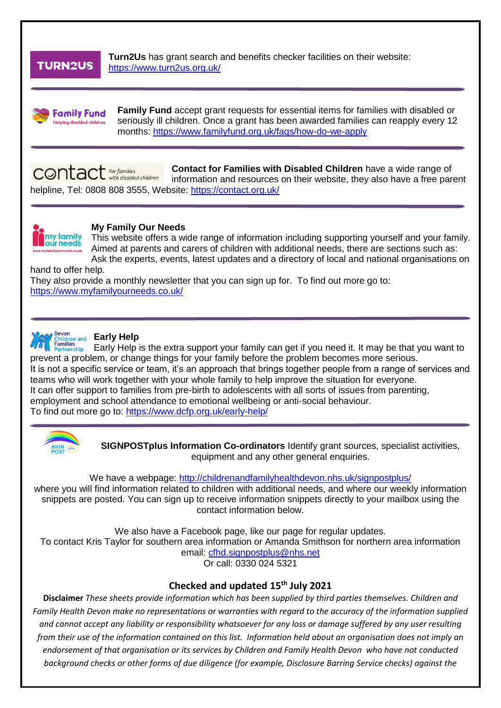## **TURN2US**

**Turn2Us** has grant search and benefits checker facilities on their website: <https://www.turn2us.org.uk/>



**Family Fund** accept grant requests for essential items for families with disabled or seriously ill children. Once a grant has been awarded families can reapply every 12 months:<https://www.familyfund.org.uk/faqs/how-do-we-apply>

 $\mathsf{contact}$   $\mathsf{f}_{\mathsf{or}\mathsf{f}_{\mathsf{amilies}}}$ **Contact for Families with Disabled Children** have a wide range of information and resources on their website, they also have a free parent helpline, Tel: 0808 808 3555, Website:<https://contact.org.uk/>



#### **My Family Our Needs**

This website offers a wide range of information including supporting yourself and your family. Aimed at parents and carers of children with additional needs, there are sections such as: Ask the experts, events, latest updates and a directory of local and national organisations on

hand to offer help.

They also provide a monthly newsletter that you can sign up for. To find out more go to: <https://www.myfamilyourneeds.co.uk/>



#### **Early Help** Children and **Early Help**

Early Help is the extra support your family can get if you need it. It may be that you want to annues<br>'artnership prevent a problem, or change things for your family before the problem becomes more serious. It is not a specific service or team, it's an approach that brings together people from a range of services and teams who will work together with your whole family to help improve the situation for everyone. It can offer support to families from pre-birth to adolescents with all sorts of issues from parenting, employment and school attendance to emotional wellbeing or anti-social behaviour. To find out more go to:<https://www.dcfp.org.uk/early-help/>



**SIGNPOSTplus Information Co-ordinators** Identify grant sources, specialist activities, equipment and any other general enquiries.

#### We have a webpage: <http://childrenandfamilyhealthdevon.nhs.uk/signpostplus/>

where you will find information related to children with additional needs, and where our weekly information snippets are posted. You can sign up to receive information snippets directly to your mailbox using the contact information below.

We also have a Facebook page, like our page for regular updates. To contact Kris Taylor for southern area information or Amanda Smithson for northern area information email: [cfhd.signpostplus@nhs.net](mailto:cfhd.signpostplus@nhs.net) Or call: 0330 024 5321

### **Checked and updated 15th July 2021**

**Disclaimer** *These sheets provide information which has been supplied by third parties themselves. Children and Family Health Devon make no representations or warranties with regard to the accuracy of the information supplied and cannot accept any liability or responsibility whatsoever for any loss or damage suffered by any user resulting from their use of the information contained on this list. Information held about an organisation does not imply an endorsement of that organisation or its services by Children and Family Health Devon who have not conducted background checks or other forms of due diligence (for example, Disclosure Barring Service checks) against the*